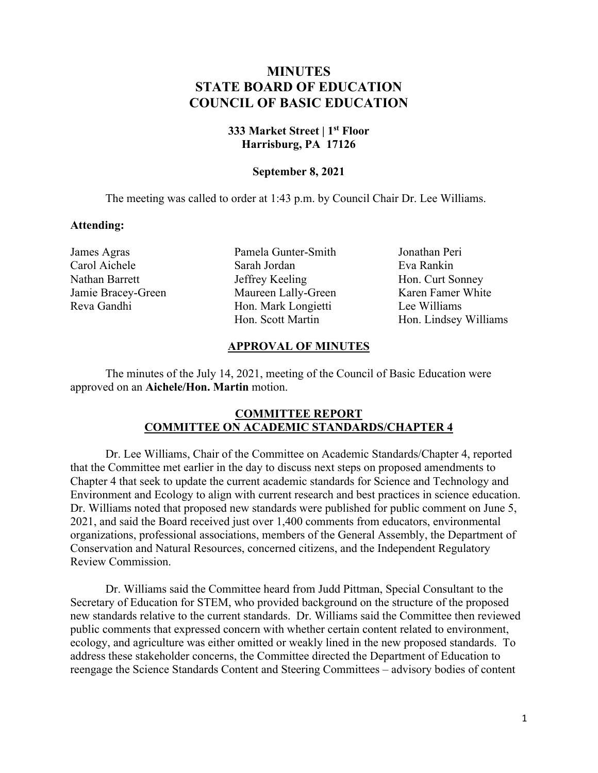# **MINUTES STATE BOARD OF EDUCATION COUNCIL OF BASIC EDUCATION**

## **333 Market Street | 1st Floor Harrisburg, PA 17126**

### **September 8, 2021**

The meeting was called to order at 1:43 p.m. by Council Chair Dr. Lee Williams.

#### **Attending:**

James Agras Carol Aichele Nathan Barrett Jamie Bracey-Green Reva Gandhi

Pamela Gunter-Smith Sarah Jordan Jeffrey Keeling Maureen Lally-Green Hon. Mark Longietti Hon. Scott Martin

Jonathan Peri Eva Rankin Hon. Curt Sonney Karen Famer White Lee Williams Hon. Lindsey Williams

### **APPROVAL OF MINUTES**

The minutes of the July 14, 2021, meeting of the Council of Basic Education were approved on an **Aichele/Hon. Martin** motion.

### **COMMITTEE REPORT COMMITTEE ON ACADEMIC STANDARDS/CHAPTER 4**

Dr. Lee Williams, Chair of the Committee on Academic Standards/Chapter 4, reported that the Committee met earlier in the day to discuss next steps on proposed amendments to Chapter 4 that seek to update the current academic standards for Science and Technology and Environment and Ecology to align with current research and best practices in science education. Dr. Williams noted that proposed new standards were published for public comment on June 5, 2021, and said the Board received just over 1,400 comments from educators, environmental organizations, professional associations, members of the General Assembly, the Department of Conservation and Natural Resources, concerned citizens, and the Independent Regulatory Review Commission.

Dr. Williams said the Committee heard from Judd Pittman, Special Consultant to the Secretary of Education for STEM, who provided background on the structure of the proposed new standards relative to the current standards. Dr. Williams said the Committee then reviewed public comments that expressed concern with whether certain content related to environment, ecology, and agriculture was either omitted or weakly lined in the new proposed standards. To address these stakeholder concerns, the Committee directed the Department of Education to reengage the Science Standards Content and Steering Committees – advisory bodies of content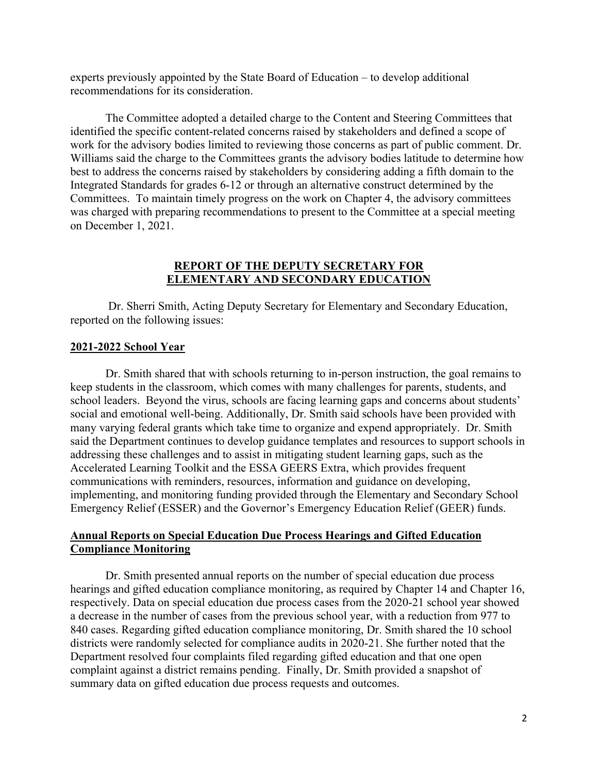experts previously appointed by the State Board of Education – to develop additional recommendations for its consideration.

The Committee adopted a detailed charge to the Content and Steering Committees that identified the specific content-related concerns raised by stakeholders and defined a scope of work for the advisory bodies limited to reviewing those concerns as part of public comment. Dr. Williams said the charge to the Committees grants the advisory bodies latitude to determine how best to address the concerns raised by stakeholders by considering adding a fifth domain to the Integrated Standards for grades 6-12 or through an alternative construct determined by the Committees. To maintain timely progress on the work on Chapter 4, the advisory committees was charged with preparing recommendations to present to the Committee at a special meeting on December 1, 2021.

#### **REPORT OF THE DEPUTY SECRETARY FOR ELEMENTARY AND SECONDARY EDUCATION**

Dr. Sherri Smith, Acting Deputy Secretary for Elementary and Secondary Education, reported on the following issues:

#### **2021-2022 School Year**

Dr. Smith shared that with schools returning to in-person instruction, the goal remains to keep students in the classroom, which comes with many challenges for parents, students, and school leaders. Beyond the virus, schools are facing learning gaps and concerns about students' social and emotional well-being. Additionally, Dr. Smith said schools have been provided with many varying federal grants which take time to organize and expend appropriately. Dr. Smith said the Department continues to develop guidance templates and resources to support schools in addressing these challenges and to assist in mitigating student learning gaps, such as the Accelerated Learning Toolkit and the ESSA GEERS Extra, which provides frequent communications with reminders, resources, information and guidance on developing, implementing, and monitoring funding provided through the Elementary and Secondary School Emergency Relief (ESSER) and the Governor's Emergency Education Relief (GEER) funds.

### **Annual Reports on Special Education Due Process Hearings and Gifted Education Compliance Monitoring**

Dr. Smith presented annual reports on the number of special education due process hearings and gifted education compliance monitoring, as required by Chapter 14 and Chapter 16, respectively. Data on special education due process cases from the 2020-21 school year showed a decrease in the number of cases from the previous school year, with a reduction from 977 to 840 cases. Regarding gifted education compliance monitoring, Dr. Smith shared the 10 school districts were randomly selected for compliance audits in 2020-21. She further noted that the Department resolved four complaints filed regarding gifted education and that one open complaint against a district remains pending. Finally, Dr. Smith provided a snapshot of summary data on gifted education due process requests and outcomes.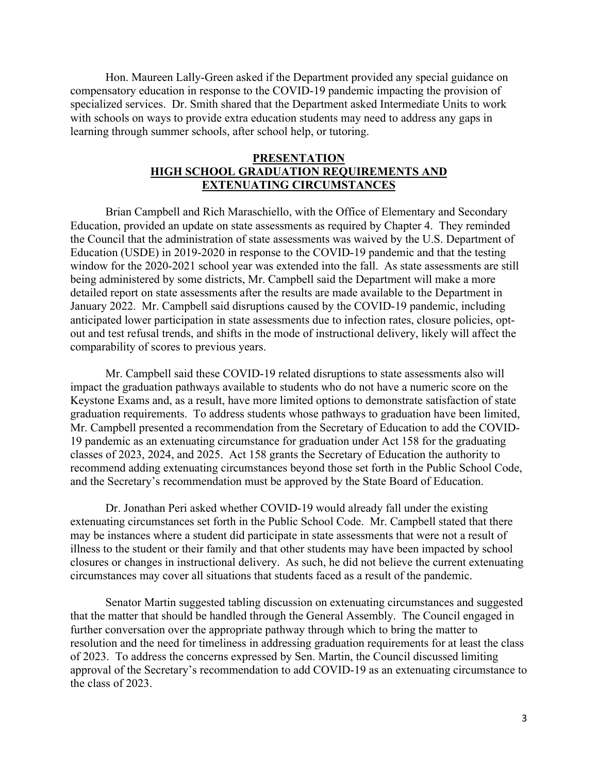Hon. Maureen Lally-Green asked if the Department provided any special guidance on compensatory education in response to the COVID-19 pandemic impacting the provision of specialized services. Dr. Smith shared that the Department asked Intermediate Units to work with schools on ways to provide extra education students may need to address any gaps in learning through summer schools, after school help, or tutoring.

### **PRESENTATION HIGH SCHOOL GRADUATION REQUIREMENTS AND EXTENUATING CIRCUMSTANCES**

Brian Campbell and Rich Maraschiello, with the Office of Elementary and Secondary Education, provided an update on state assessments as required by Chapter 4. They reminded the Council that the administration of state assessments was waived by the U.S. Department of Education (USDE) in 2019-2020 in response to the COVID-19 pandemic and that the testing window for the 2020-2021 school year was extended into the fall. As state assessments are still being administered by some districts, Mr. Campbell said the Department will make a more detailed report on state assessments after the results are made available to the Department in January 2022. Mr. Campbell said disruptions caused by the COVID-19 pandemic, including anticipated lower participation in state assessments due to infection rates, closure policies, optout and test refusal trends, and shifts in the mode of instructional delivery, likely will affect the comparability of scores to previous years.

Mr. Campbell said these COVID-19 related disruptions to state assessments also will impact the graduation pathways available to students who do not have a numeric score on the Keystone Exams and, as a result, have more limited options to demonstrate satisfaction of state graduation requirements. To address students whose pathways to graduation have been limited, Mr. Campbell presented a recommendation from the Secretary of Education to add the COVID-19 pandemic as an extenuating circumstance for graduation under Act 158 for the graduating classes of 2023, 2024, and 2025. Act 158 grants the Secretary of Education the authority to recommend adding extenuating circumstances beyond those set forth in the Public School Code, and the Secretary's recommendation must be approved by the State Board of Education.

Dr. Jonathan Peri asked whether COVID-19 would already fall under the existing extenuating circumstances set forth in the Public School Code. Mr. Campbell stated that there may be instances where a student did participate in state assessments that were not a result of illness to the student or their family and that other students may have been impacted by school closures or changes in instructional delivery. As such, he did not believe the current extenuating circumstances may cover all situations that students faced as a result of the pandemic.

Senator Martin suggested tabling discussion on extenuating circumstances and suggested that the matter that should be handled through the General Assembly. The Council engaged in further conversation over the appropriate pathway through which to bring the matter to resolution and the need for timeliness in addressing graduation requirements for at least the class of 2023. To address the concerns expressed by Sen. Martin, the Council discussed limiting approval of the Secretary's recommendation to add COVID-19 as an extenuating circumstance to the class of 2023.